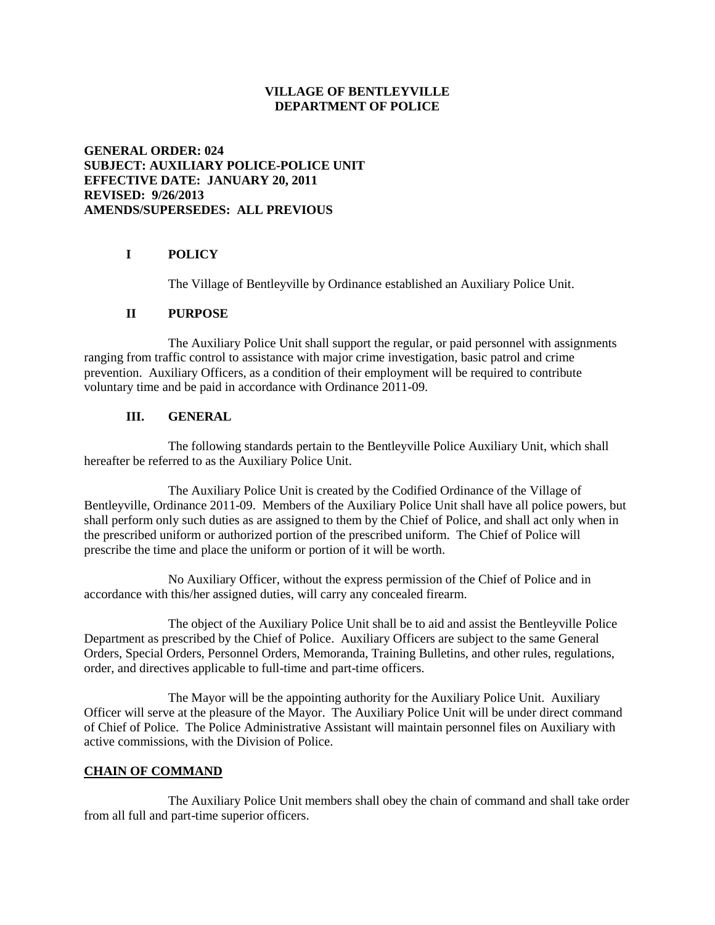### **VILLAGE OF BENTLEYVILLE DEPARTMENT OF POLICE**

## **GENERAL ORDER: 024 SUBJECT: AUXILIARY POLICE-POLICE UNIT EFFECTIVE DATE: JANUARY 20, 2011 REVISED: 9/26/2013 AMENDS/SUPERSEDES: ALL PREVIOUS**

# **I POLICY**

The Village of Bentleyville by Ordinance established an Auxiliary Police Unit.

### **II PURPOSE**

The Auxiliary Police Unit shall support the regular, or paid personnel with assignments ranging from traffic control to assistance with major crime investigation, basic patrol and crime prevention. Auxiliary Officers, as a condition of their employment will be required to contribute voluntary time and be paid in accordance with Ordinance 2011-09.

## **III. GENERAL**

The following standards pertain to the Bentleyville Police Auxiliary Unit, which shall hereafter be referred to as the Auxiliary Police Unit.

The Auxiliary Police Unit is created by the Codified Ordinance of the Village of Bentleyville, Ordinance 2011-09. Members of the Auxiliary Police Unit shall have all police powers, but shall perform only such duties as are assigned to them by the Chief of Police, and shall act only when in the prescribed uniform or authorized portion of the prescribed uniform. The Chief of Police will prescribe the time and place the uniform or portion of it will be worth.

No Auxiliary Officer, without the express permission of the Chief of Police and in accordance with this/her assigned duties, will carry any concealed firearm.

The object of the Auxiliary Police Unit shall be to aid and assist the Bentleyville Police Department as prescribed by the Chief of Police. Auxiliary Officers are subject to the same General Orders, Special Orders, Personnel Orders, Memoranda, Training Bulletins, and other rules, regulations, order, and directives applicable to full-time and part-time officers.

The Mayor will be the appointing authority for the Auxiliary Police Unit. Auxiliary Officer will serve at the pleasure of the Mayor. The Auxiliary Police Unit will be under direct command of Chief of Police. The Police Administrative Assistant will maintain personnel files on Auxiliary with active commissions, with the Division of Police.

## **CHAIN OF COMMAND**

The Auxiliary Police Unit members shall obey the chain of command and shall take order from all full and part-time superior officers.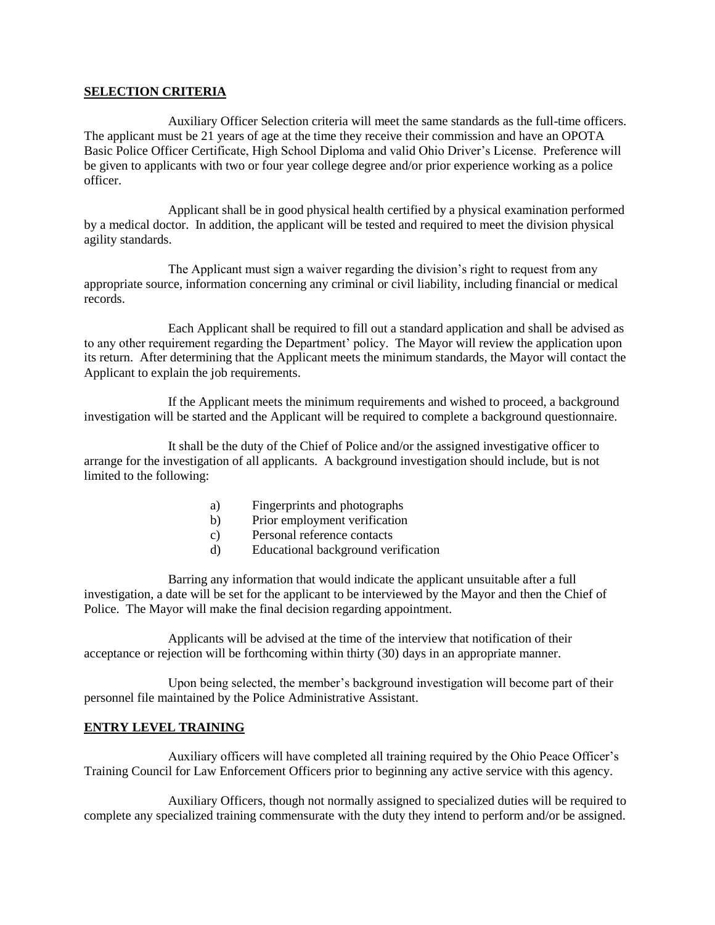### **SELECTION CRITERIA**

Auxiliary Officer Selection criteria will meet the same standards as the full-time officers. The applicant must be 21 years of age at the time they receive their commission and have an OPOTA Basic Police Officer Certificate, High School Diploma and valid Ohio Driver's License. Preference will be given to applicants with two or four year college degree and/or prior experience working as a police officer.

Applicant shall be in good physical health certified by a physical examination performed by a medical doctor. In addition, the applicant will be tested and required to meet the division physical agility standards.

The Applicant must sign a waiver regarding the division's right to request from any appropriate source, information concerning any criminal or civil liability, including financial or medical records.

Each Applicant shall be required to fill out a standard application and shall be advised as to any other requirement regarding the Department' policy. The Mayor will review the application upon its return. After determining that the Applicant meets the minimum standards, the Mayor will contact the Applicant to explain the job requirements.

If the Applicant meets the minimum requirements and wished to proceed, a background investigation will be started and the Applicant will be required to complete a background questionnaire.

It shall be the duty of the Chief of Police and/or the assigned investigative officer to arrange for the investigation of all applicants. A background investigation should include, but is not limited to the following:

- a) Fingerprints and photographs
- b) Prior employment verification
- c) Personal reference contacts
- d) Educational background verification

Barring any information that would indicate the applicant unsuitable after a full investigation, a date will be set for the applicant to be interviewed by the Mayor and then the Chief of Police. The Mayor will make the final decision regarding appointment.

Applicants will be advised at the time of the interview that notification of their acceptance or rejection will be forthcoming within thirty (30) days in an appropriate manner.

Upon being selected, the member's background investigation will become part of their personnel file maintained by the Police Administrative Assistant.

## **ENTRY LEVEL TRAINING**

Auxiliary officers will have completed all training required by the Ohio Peace Officer's Training Council for Law Enforcement Officers prior to beginning any active service with this agency.

Auxiliary Officers, though not normally assigned to specialized duties will be required to complete any specialized training commensurate with the duty they intend to perform and/or be assigned.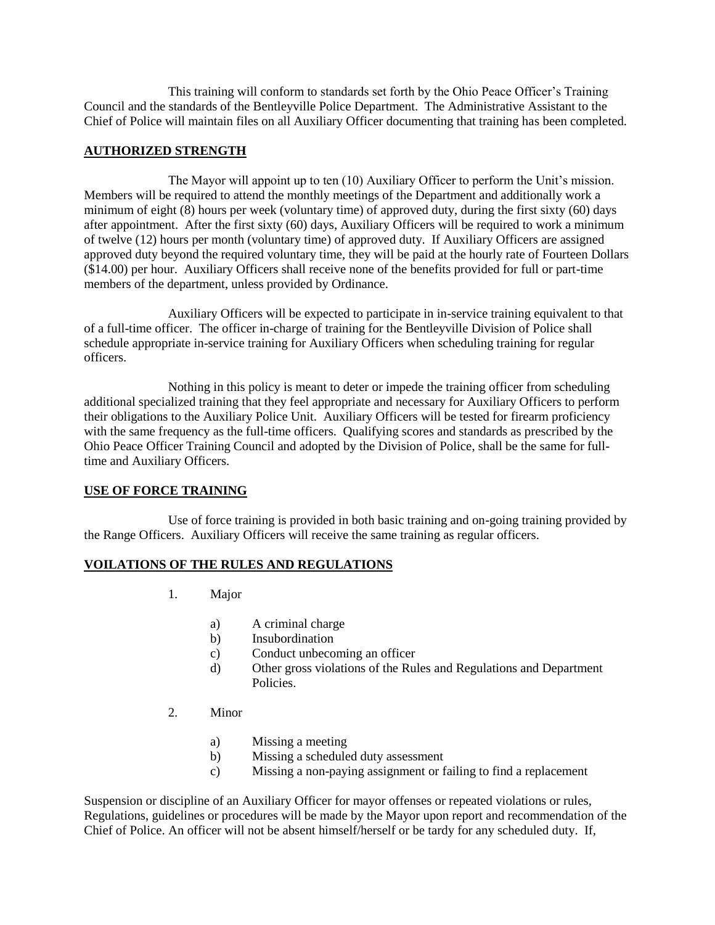This training will conform to standards set forth by the Ohio Peace Officer's Training Council and the standards of the Bentleyville Police Department. The Administrative Assistant to the Chief of Police will maintain files on all Auxiliary Officer documenting that training has been completed.

### **AUTHORIZED STRENGTH**

The Mayor will appoint up to ten (10) Auxiliary Officer to perform the Unit's mission. Members will be required to attend the monthly meetings of the Department and additionally work a minimum of eight (8) hours per week (voluntary time) of approved duty, during the first sixty (60) days after appointment. After the first sixty (60) days, Auxiliary Officers will be required to work a minimum of twelve (12) hours per month (voluntary time) of approved duty. If Auxiliary Officers are assigned approved duty beyond the required voluntary time, they will be paid at the hourly rate of Fourteen Dollars (\$14.00) per hour. Auxiliary Officers shall receive none of the benefits provided for full or part-time members of the department, unless provided by Ordinance.

Auxiliary Officers will be expected to participate in in-service training equivalent to that of a full-time officer. The officer in-charge of training for the Bentleyville Division of Police shall schedule appropriate in-service training for Auxiliary Officers when scheduling training for regular officers.

Nothing in this policy is meant to deter or impede the training officer from scheduling additional specialized training that they feel appropriate and necessary for Auxiliary Officers to perform their obligations to the Auxiliary Police Unit. Auxiliary Officers will be tested for firearm proficiency with the same frequency as the full-time officers. Qualifying scores and standards as prescribed by the Ohio Peace Officer Training Council and adopted by the Division of Police, shall be the same for fulltime and Auxiliary Officers.

### **USE OF FORCE TRAINING**

Use of force training is provided in both basic training and on-going training provided by the Range Officers. Auxiliary Officers will receive the same training as regular officers.

#### **VOILATIONS OF THE RULES AND REGULATIONS**

- 1. Major
	- a) A criminal charge
	- b) Insubordination
	- c) Conduct unbecoming an officer
	- d) Other gross violations of the Rules and Regulations and Department **Policies**
- 2. Minor
	- a) Missing a meeting
	- b) Missing a scheduled duty assessment
	- c) Missing a non-paying assignment or failing to find a replacement

Suspension or discipline of an Auxiliary Officer for mayor offenses or repeated violations or rules, Regulations, guidelines or procedures will be made by the Mayor upon report and recommendation of the Chief of Police. An officer will not be absent himself/herself or be tardy for any scheduled duty. If,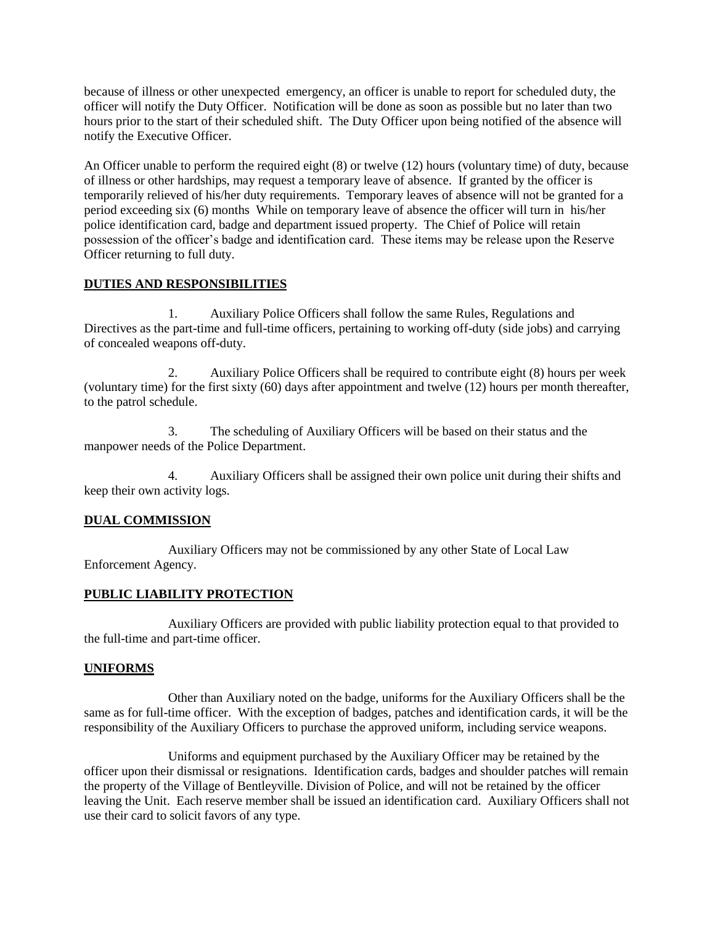because of illness or other unexpected emergency, an officer is unable to report for scheduled duty, the officer will notify the Duty Officer. Notification will be done as soon as possible but no later than two hours prior to the start of their scheduled shift. The Duty Officer upon being notified of the absence will notify the Executive Officer.

An Officer unable to perform the required eight (8) or twelve (12) hours (voluntary time) of duty, because of illness or other hardships, may request a temporary leave of absence. If granted by the officer is temporarily relieved of his/her duty requirements. Temporary leaves of absence will not be granted for a period exceeding six (6) months While on temporary leave of absence the officer will turn in his/her police identification card, badge and department issued property. The Chief of Police will retain possession of the officer's badge and identification card. These items may be release upon the Reserve Officer returning to full duty.

### **DUTIES AND RESPONSIBILITIES**

1. Auxiliary Police Officers shall follow the same Rules, Regulations and Directives as the part-time and full-time officers, pertaining to working off-duty (side jobs) and carrying of concealed weapons off-duty.

2. Auxiliary Police Officers shall be required to contribute eight (8) hours per week (voluntary time) for the first sixty (60) days after appointment and twelve (12) hours per month thereafter, to the patrol schedule.

3. The scheduling of Auxiliary Officers will be based on their status and the manpower needs of the Police Department.

4. Auxiliary Officers shall be assigned their own police unit during their shifts and keep their own activity logs.

## **DUAL COMMISSION**

Auxiliary Officers may not be commissioned by any other State of Local Law Enforcement Agency.

## **PUBLIC LIABILITY PROTECTION**

Auxiliary Officers are provided with public liability protection equal to that provided to the full-time and part-time officer.

### **UNIFORMS**

Other than Auxiliary noted on the badge, uniforms for the Auxiliary Officers shall be the same as for full-time officer. With the exception of badges, patches and identification cards, it will be the responsibility of the Auxiliary Officers to purchase the approved uniform, including service weapons.

Uniforms and equipment purchased by the Auxiliary Officer may be retained by the officer upon their dismissal or resignations. Identification cards, badges and shoulder patches will remain the property of the Village of Bentleyville. Division of Police, and will not be retained by the officer leaving the Unit. Each reserve member shall be issued an identification card. Auxiliary Officers shall not use their card to solicit favors of any type.